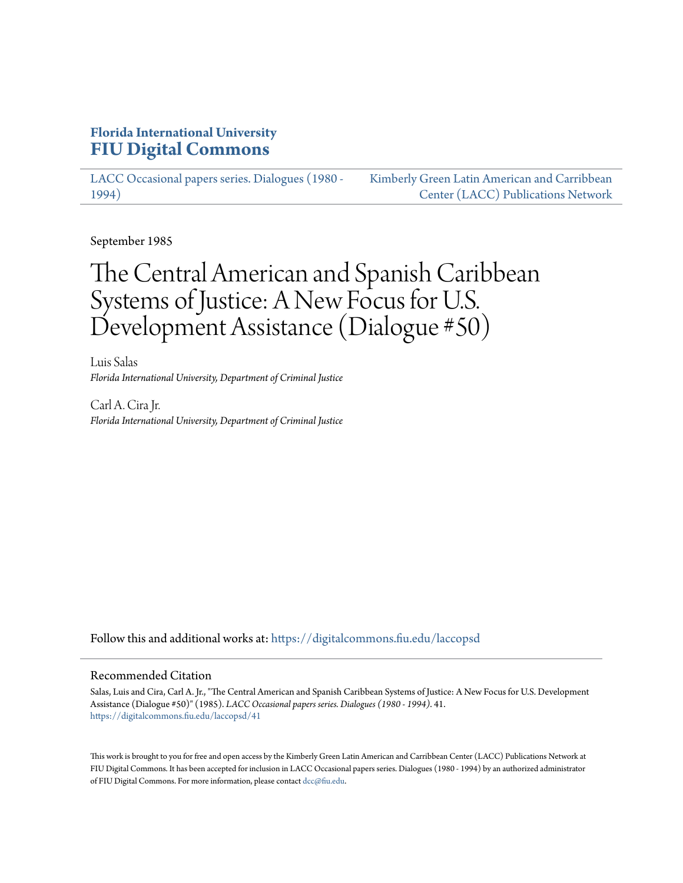### **Florida International University [FIU Digital Commons](https://digitalcommons.fiu.edu?utm_source=digitalcommons.fiu.edu%2Flaccopsd%2F41&utm_medium=PDF&utm_campaign=PDFCoverPages)**

[LACC Occasional papers series. Dialogues \(1980 -](https://digitalcommons.fiu.edu/laccopsd?utm_source=digitalcommons.fiu.edu%2Flaccopsd%2F41&utm_medium=PDF&utm_campaign=PDFCoverPages) [1994\)](https://digitalcommons.fiu.edu/laccopsd?utm_source=digitalcommons.fiu.edu%2Flaccopsd%2F41&utm_medium=PDF&utm_campaign=PDFCoverPages)

[Kimberly Green Latin American and Carribbean](https://digitalcommons.fiu.edu/laccp?utm_source=digitalcommons.fiu.edu%2Flaccopsd%2F41&utm_medium=PDF&utm_campaign=PDFCoverPages) [Center \(LACC\) Publications Network](https://digitalcommons.fiu.edu/laccp?utm_source=digitalcommons.fiu.edu%2Flaccopsd%2F41&utm_medium=PDF&utm_campaign=PDFCoverPages)

September 1985

# The Central American and Spanish Caribbean Systems of Justice: A New Focus for U.S. Development Assistance (Dialogue #50)

Luis Salas *Florida International University, Department of Criminal Justice*

Carl A. Cira Jr. *Florida International University, Department of Criminal Justice*

Follow this and additional works at: [https://digitalcommons.fiu.edu/laccopsd](https://digitalcommons.fiu.edu/laccopsd?utm_source=digitalcommons.fiu.edu%2Flaccopsd%2F41&utm_medium=PDF&utm_campaign=PDFCoverPages)

#### Recommended Citation

Salas, Luis and Cira, Carl A. Jr., "The Central American and Spanish Caribbean Systems of Justice: A New Focus for U.S. Development Assistance (Dialogue #50)" (1985). *LACC Occasional papers series. Dialogues (1980 - 1994)*. 41. [https://digitalcommons.fiu.edu/laccopsd/41](https://digitalcommons.fiu.edu/laccopsd/41?utm_source=digitalcommons.fiu.edu%2Flaccopsd%2F41&utm_medium=PDF&utm_campaign=PDFCoverPages)

This work is brought to you for free and open access by the Kimberly Green Latin American and Carribbean Center (LACC) Publications Network at FIU Digital Commons. It has been accepted for inclusion in LACC Occasional papers series. Dialogues (1980 - 1994) by an authorized administrator of FIU Digital Commons. For more information, please contact [dcc@fiu.edu](mailto:dcc@fiu.edu).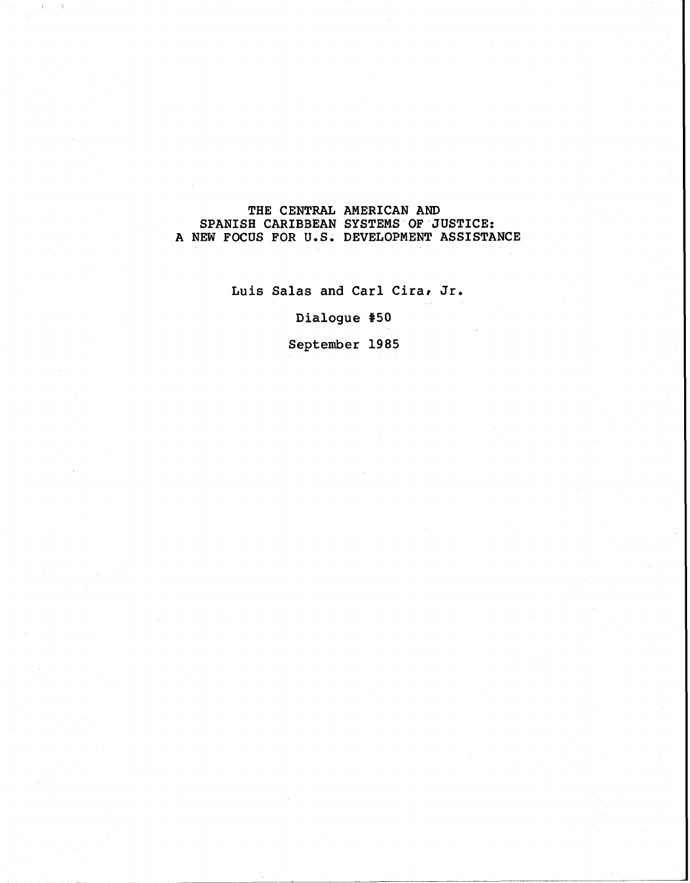#### **THE CENTRAL AMERICAN AND SPANISH CARIBBEAN SYSTEMS OF JUSTICE: A NEW FOCUS FOR U.S. DEVELOPMENT ASSISTANCE**

 $\mathbb{I}$ 

**Luis Salas and Carl Cirar Jr.** 

Dialogue #50

**September 1985**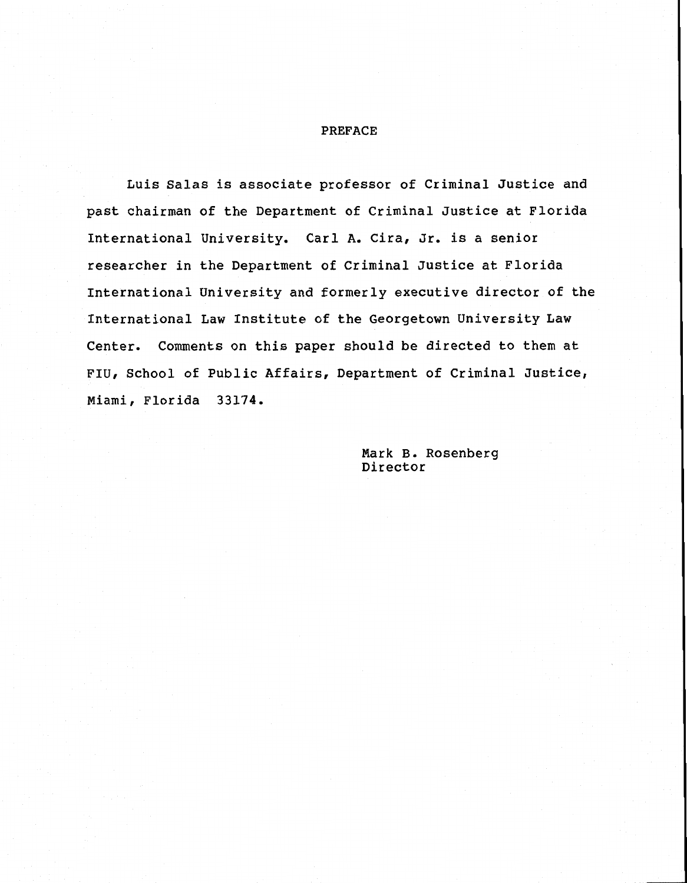#### PREFACE

Luis Salas is associate professor of Criminal Justice and past chairman of the Department of Criminal Justice at Florida International University. Carl A. Cira, Jr. is a senior researcher in the Department of Criminal Justice at Florida International University and formerly executive director of the International Law Institute of the Georgetown University Law Center. Comments on this paper should be directed to them at FIU, School of Public Affairs, Department of Criminal Justice, Miami, Florida 33174.

> Mark B. Rosenberg Director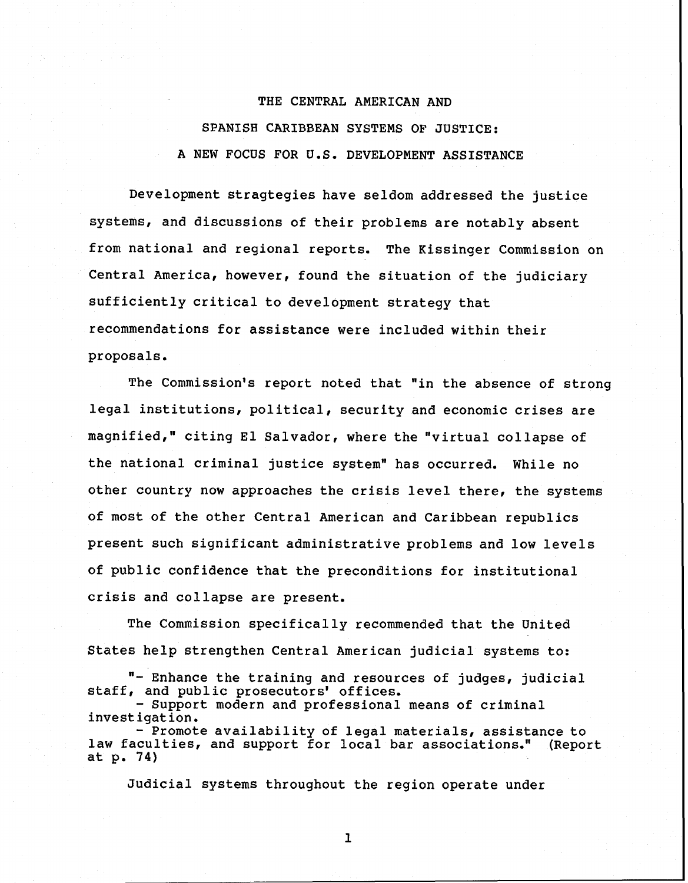## THE CENTRAL AMERICAN AND SPANISH CARIBBEAN SYSTEMS OF JUSTICE: A NEW FOCUS FOR U.S. DEVELOPMENT ASSISTANCE

Development stragtegies have seldom addressed the justice systems, and discussions of their problems are notably absent from national and regional reports. The Kissinger Commission on Central America, however, found the situation of the judiciary sufficiently critical to development strategy that recommendations for assistance were included within their proposals.

The Commission's report noted that "in the absence of strong legal institutions, political, security and economic crises are magnified," citing El Salvador, where the "virtual collapse of the national criminal justice system" has occurred. While no other country now approaches the crisis level there, the systems of most of the other Central American and Caribbean republics present such significant administrative problems and low levels of public confidence that the preconditions for institutional crisis and collapse are present.

The Commission specifically recommended that the United States help strengthen Central American judicial systems to:

"- Enhance the training and resources of judges, judicial staff, and public prosecutors' offices.

- Support modern and professional means of criminal investigation.

- Promote availability of legal materials, assistance to<br>culties, and support for local bar associations." (Report law faculties, and support for local bar associations." at p. 74)

Judicial systems throughout the region operate under

 $\mathbf{1}$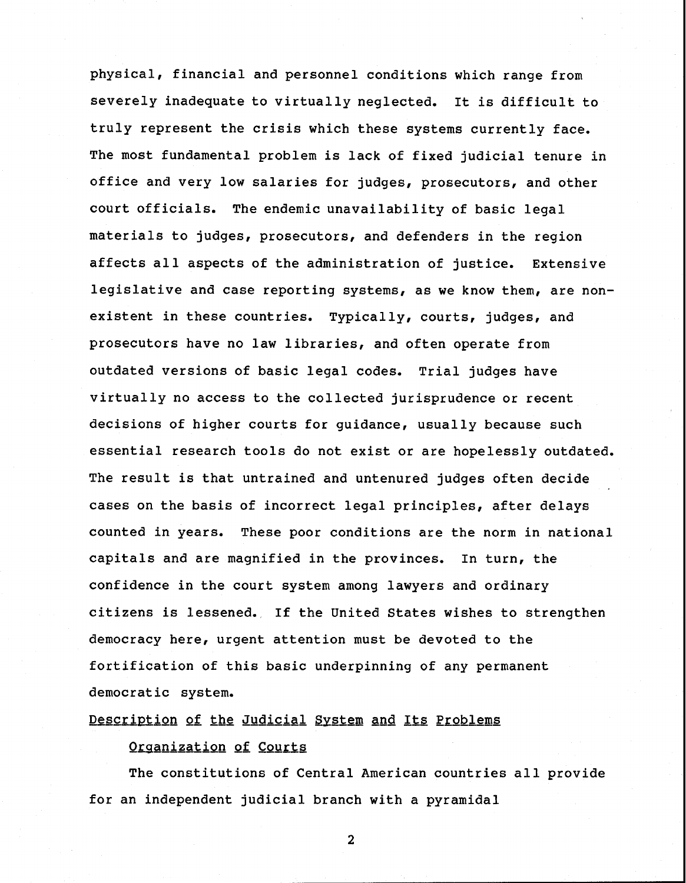physical, financial and personnel conditions which range from severely inadequate to virtually neglected. It is difficult to truly represent the crisis which these systems currently face. The most fundamental problem is lack of fixed judicial tenure in office and very low salaries for judges, prosecutors, and other court officials. The endemic unavailability of basic legal materials to judges, prosecutors, and defenders in the region affects all aspects of the administration of justice. Extensive legislative and case reporting systems, as we know them, are nonexistent in these countries. Typically, courts, judges, and prosecutors have no law libraries, and often operate from outdated versions of basic legal codes. Trial judges have virtually no access to the collected jurisprudence or recent decisions of higher courts for guidance, usually because such essential research tools do not exist or are hopelessly outdated. The result is that untrained and untenured judges often decide cases on the basis of incorrect legal principles, after delays counted in years. These poor conditions are the norm in national capitals and are magnified in the provinces. In turn, the confidence in the court system among lawyers and ordinary citizens is lessened. If the United States wishes to strengthen democracy here, urgent attention must be devoted to the fortification of this basic underpinning of any permanent democratic system.

Description of the Judicial System and Its Problems

#### **Organization of Courts**

The constitutions of Central American countries all provide for an independent judicial branch with a pyramidal

 $\overline{2}$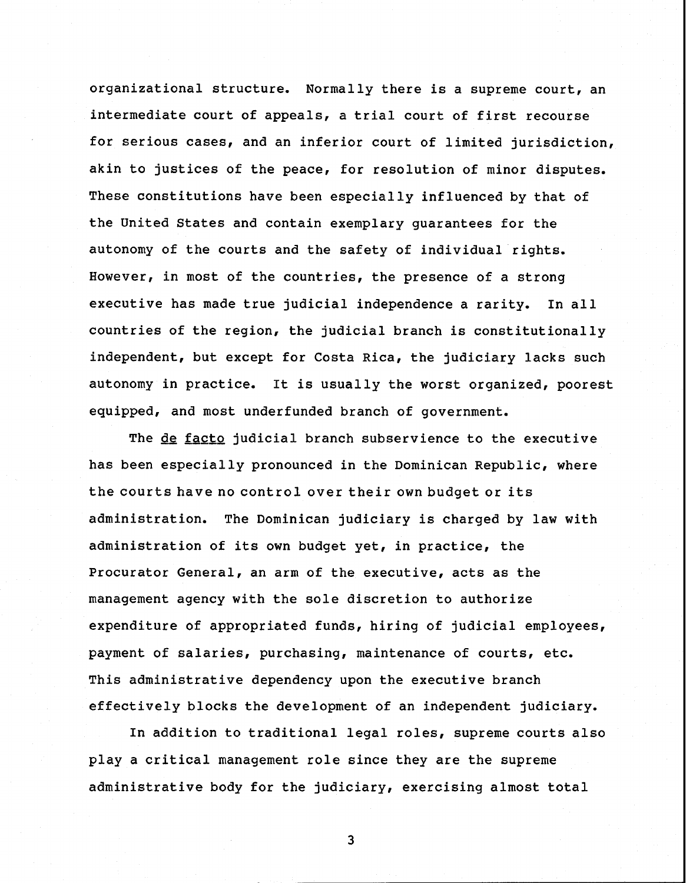organizational structure. Normally there is a supreme court, an intermediate court of appeals, a trial court of first recourse for serious cases, and an inferior court of limited jurisdiction, akin to justices of the peace, for resolution of minor disputes. These constitutions have been especially influenced by that of the United States and contain exemplary guarantees for the autonomy of the courts and the safety of individual rights. However, in most of the countries, the presence of a strong executive has made true judicial independence a rarity. In all countries of the region, the judicial branch is constitutionally independent, but except for Costa Rica, the judiciary lacks such autonomy in practice. It is usually the worst organized, poorest equipped, and most underfunded branch of government.

The de facto judicial branch subservience to the executive has been especially pronounced in the Dominican Republic, where the courts have no control over their own budget or its administration. The Dominican judiciary is charged by law with administration of its own budget yet, in practice, the Procurator General, an arm of the executive, acts as the management agency with the sole discretion to authorize expenditure of appropriated funds, hiring of judicial employees, payment of salaries, purchasing, maintenance of courts, etc. This administrative dependency upon the executive branch effectively blocks the development of an independent judiciary.

In addition to traditional legal roles, supreme courts also play a critical management role since they are the supreme administrative body for the judiciary, exercising almost total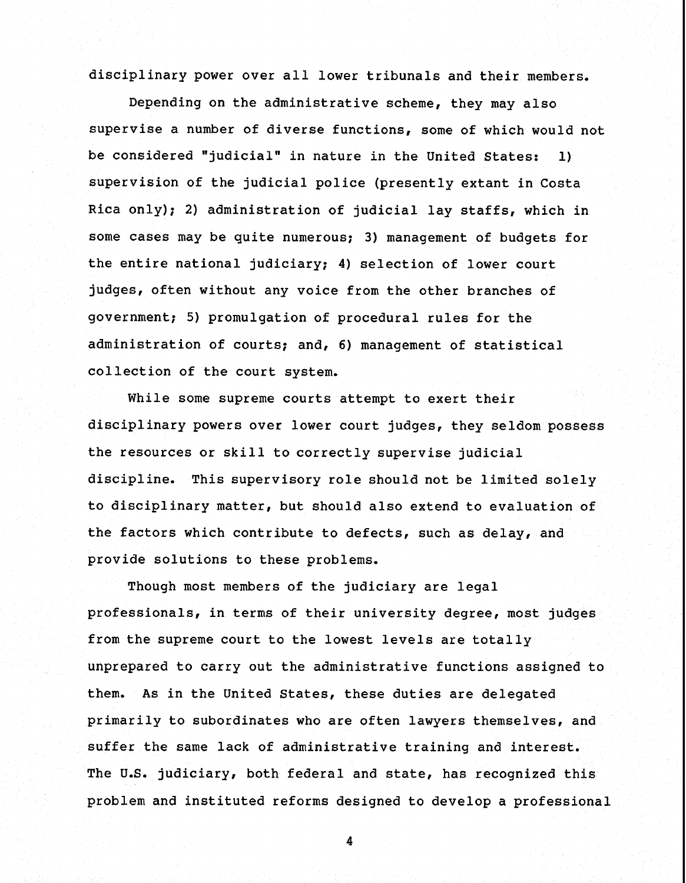disciplinary power over all lower tribunals and their members.

Depending on the administrative scheme, they may also supervise a number of diverse functions, some of which would not be considered "judicial" in nature in the United States: 1) supervision of the judicial police (presently extant in Costa Rica only); 2) administration of judicial lay staffs, which in some cases may be quite numerous; 3) management of budgets for the entire national judiciary; 4) selection of lower court judges, often without any voice from the other branches of government; 5) promulgation of procedural rules for the administration of courts; and, 6) management of statistical collection of the court system.

While some supreme courts attempt to exert their disciplinary powers over lower court judges, they seldom possess the resources or skill to correctly supervise judicial discipline. This supervisory role should not be limited solely to disciplinary matter, but should also extend to evaluation of the factors which contribute to defects, such as delay, and provide solutions to these problems.

Though most members of the judiciary are legal professionals, in terms of their university degree, most judges from the supreme court to the lowest levels are totally unprepared to carry out the administrative functions assigned to them. As in the United States, these duties are delegated primarily to subordinates who are often lawyers themselves, and suffer the same lack of administrative training and interest. The U.S. judiciary, both federal and state, has recognized this problem and instituted reforms designed to develop a professional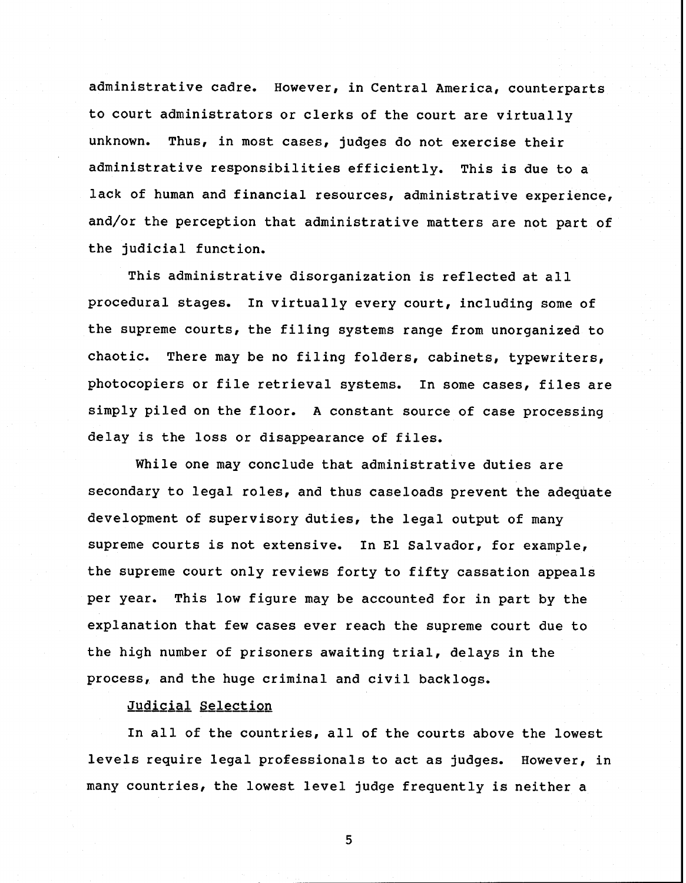administrative cadre. However, in Central America, counterparts to court administrators or clerks of the court are virtually unknown. Thus, in most cases, judges do not exercise their administrative responsibilities efficiently. This is due to a lack of human and financial resources, administrative experience, and/or the perception that administrative matters are not part of the judicial function.

This administrative disorganization is reflected at all procedural stages. In virtually every court, including some of the supreme courts, the filing systems range from unorganized to chaotic. There may be no filing folders, cabinets, typewriters, photocopiers or file retrieval systems. In some cases, files are simply piled on the floor. A constant source of case processing delay is the loss or disappearance of files.

While one may conclude that administrative duties are secondary to legal roles, and thus caseloads prevent the adequate development of supervisory duties, the legal output of many supreme courts is not extensive. In El Salvador, for example, the supreme court only reviews forty to fifty cassation appeals per year. This low figure may be accounted for in part by the explanation that few cases ever reach the supreme court due to the high number of prisoners awaiting trial, delays in the process, and the huge criminal and civil backlogs.

Judicial Selection

In all of the countries, all of the courts above the lowest levels require legal professionals to act as judges. However, in many countries, the lowest level judge frequently is neither a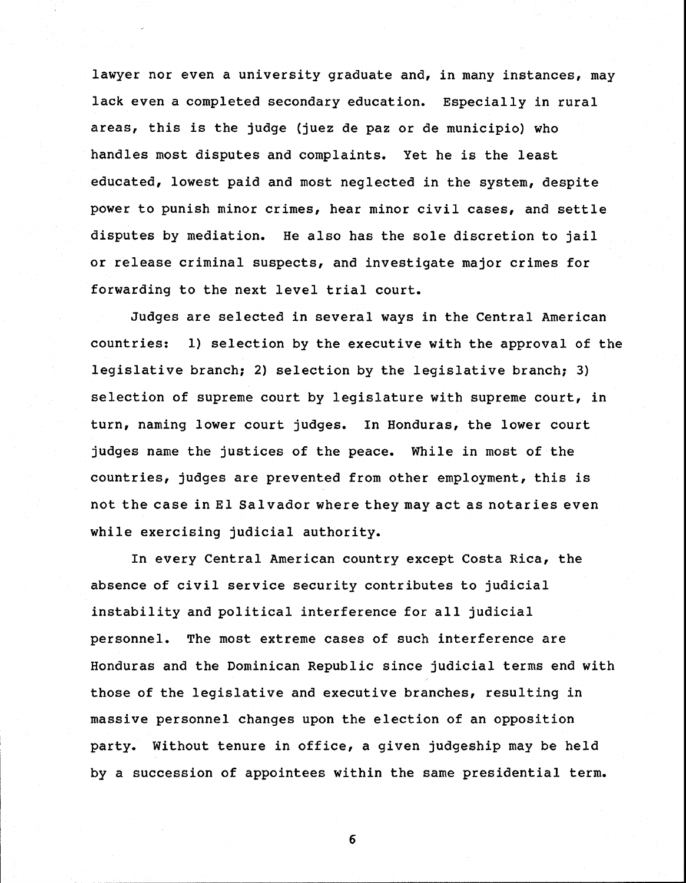lawyer nor even a university graduate and, in many instances, may lack even a completed secondary education. Especially in rural areas, this is the judge (juez de paz or de municipio) who handles most disputes and complaints. Yet he is the least educated, lowest paid and most neglected in the system, despite power to punish minor crimes, hear minor civil cases, and settle disputes by mediation. He also has the sole discretion to jail or release criminal suspects, and investigate major crimes for forwarding to the next level trial court.

Judges are selected in several ways in the Central American countries: 1) selection by the executive with the approval of the legislative branch; 2) selection by the legislative branch; 3) selection of supreme court by legislature with supreme court, in turn, naming lower court judges. In Honduras, the lower court judges name the justices of the peace. While in most of the countries, judges are prevented from other employment, this is not the case in El Salvador where they may act as notaries even while exercising judicial authority.

In every Central American country except Costa Rica, the absence of civil service security contributes to judicial instability and political interference for all judicial personnel. The most extreme cases of such interference are Honduras and the Dominican Republic since judicial terms end with those of the legislative and executive branches, resulting in massive personnel changes upon the election of an opposition party. Without tenure in office, a given judgeship may be held by a succession of appointees within the same presidential term.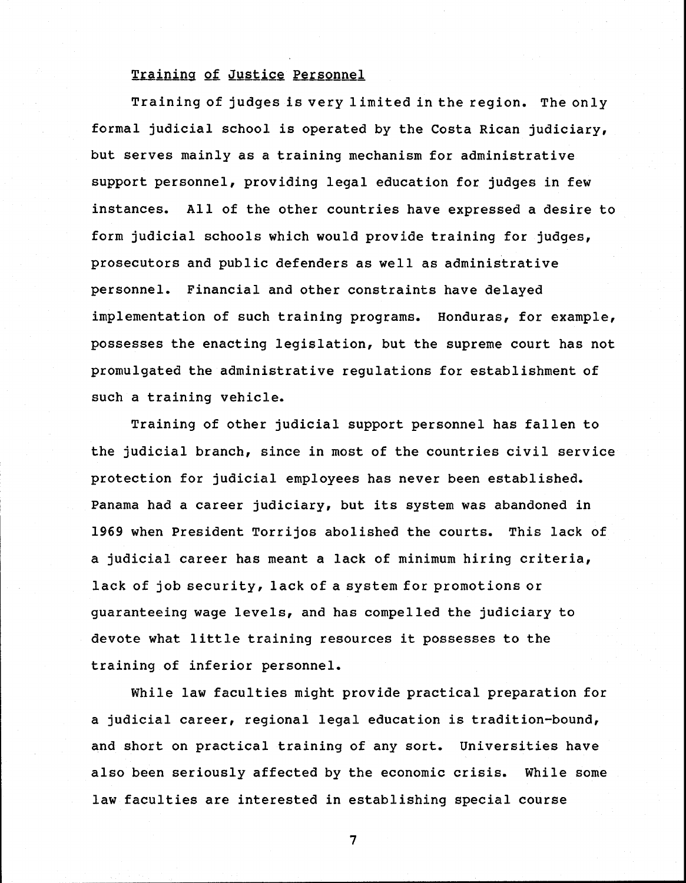#### Traininq **gf** Justice Personnel

Training of judges is very limited in the region. The only formal judicial school is operated by the Costa Rican judiciary, but serves mainly as a training mechanism for administrative support personnel, providing legal education for judges in few instances. All of the other countries have expressed a desire to form judicial schools which would provide training for judges, prosecutors and public defenders as well as administrative personnel. Financial and other constraints have delayed implementation of such training programs. Honduras, for example, possesses the enacting legislation, but the supreme court has not promulgated the administrative regulations for establishment of such a training vehicle.

Training of other judicial support personnel has fallen to the judicial branch, since in most of the countries civil service protection for judicial employees has never been established. Panama had a career judiciary, but its system was abandoned in 1969 when President Torrijos abolished the courts. This lack of a judicial career has meant a lack of minimum hiring criteria, lack of job security, lack of a system for promotions or guaranteeing wage levels, and has compelled the judiciary to devote what little training resources it possesses to the training of inferior personnel.

While law faculties might provide practical preparation for a judicial career, regional legal education is tradition-bound, and short on practical training of any sort. Universities have also been seriously affected by the economic crisis. While some law faculties are interested in establishing special course

 $\overline{7}$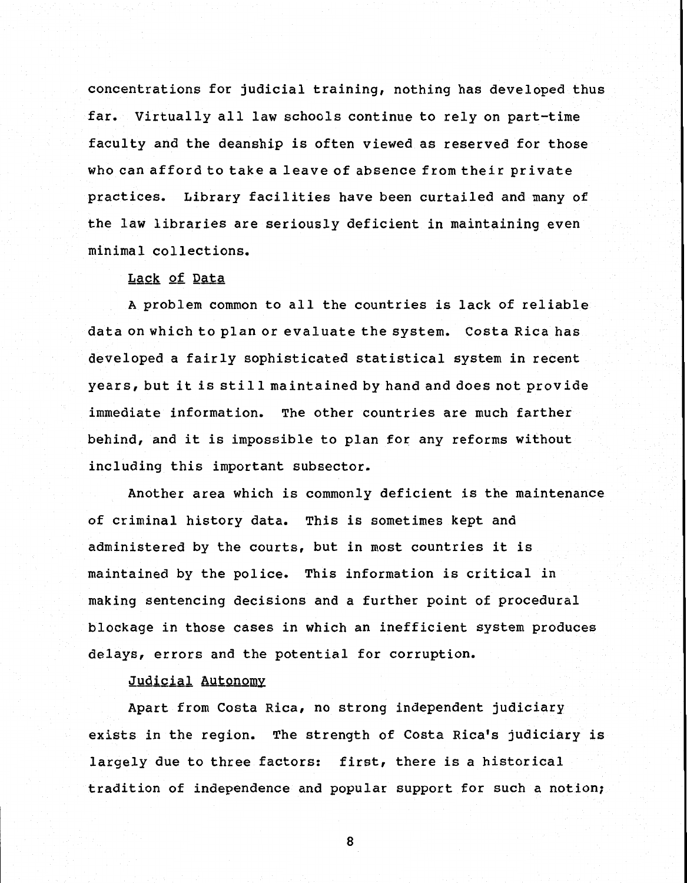concentrations for judicial training, nothing has developed thus far. Virtually all law schools continue to rely on part-time faculty and the deanship is often viewed as reserved for those who can afford to take a leave of absence from their private practices. Library facilities have been curtailed and many of the law libraries are seriously deficient in maintaining even minimal collections.

#### Lack of Data

A problem common to all the countries is lack of reliable data on which to plan or evaluate the system. Costa Rica has developed a fairly sophisticated statistical system in recent years, but it is still maintained by hand and does not provide immediate information. The other countries are much farther behind, and it is impossible to plan for any reforms without including this important subsector.

Another area which is commonly deficient is the maintenance of criminal history data. This is sometimes kept and administered by the courts, but in most countries it is maintained by the police. This information is critical in making sentencing decisions and a further point of procedural blockage in those cases in which an inefficient system produces delays, errors and the potential for corruption.

#### Judicial Autonomy

Apart from Costa Rica, no strong independent judiciary exists in the region. The strength of Costa Rica's judiciary is largely due to three factors: first, there is a historical tradition of independence and popular support for such a notion;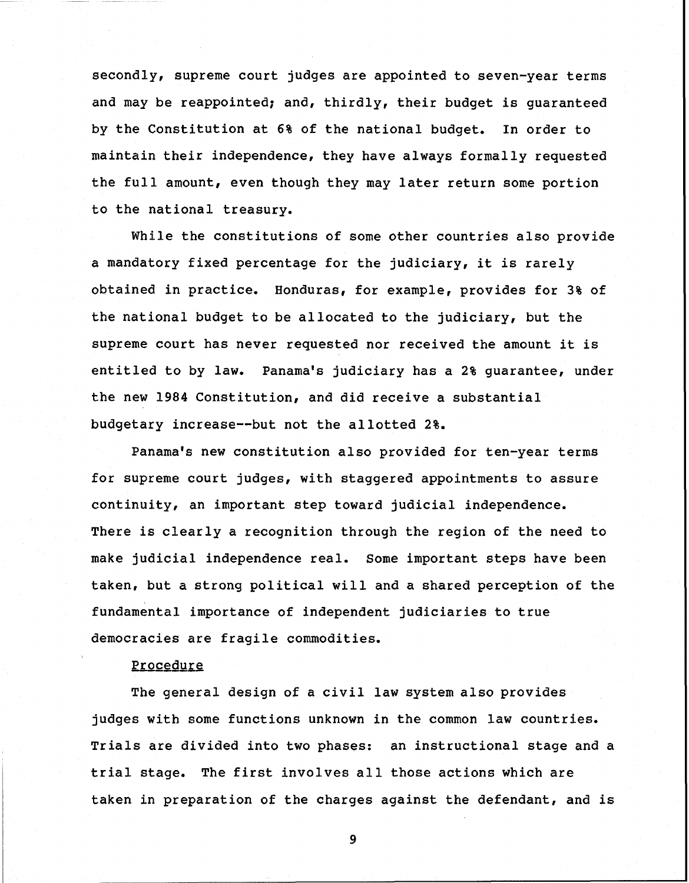secondly, supreme court judges are appointed to seven-year terms and may be reappointed; and, thirdly, their budget is quaranteed by the Constitution at 6% of the national budget. In order to maintain their independence, they have always formally requested the full amount, even though they may later return some portion to the national treasury.

While the constitutions of some other countries also provide a mandatory fixed percentage for the judiciary, it is rarely obtained in practice, Honduras, for example, provides for 3% of the national budget to be allocated to the judiciary, but the supreme court has never requested nor received the amount it is entitled to by law. Panama's judiciary has a **2%** guarantee, under the new 1984 Constitution, and did receive a substantial budgetary increase--but not the allotted **2%.** 

Panama's new constitution also provided for ten-year terms for supreme court judges, with staggered appointments to assure continuity, an important step toward judicial independence. There is clearly a recognition through the region of the need to make judicial independence real. Some important steps have been taken, but a strong political will and a shared perception of the fundamental importance of independent judiciaries to true democracies are fragile commodities.

#### Procedure

The general design of a civil law system also provides judges with some functions unknown in the common law countries, Trials are divided into two phases: an instructional stage and a trial stage. The first involves all those actions which are taken in preparation of the charges against the defendant, and is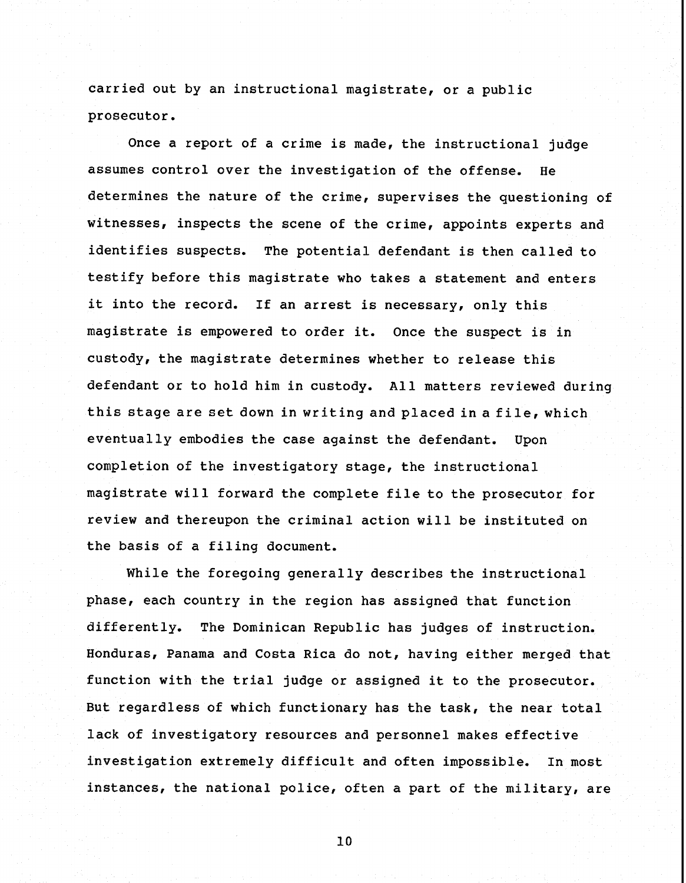carried out by an instructional magistrate, or a public prosecutor.

Once a report of a crime is made, the instructional judge assumes control over the investigation of the offense. He determines the nature of the crime, supervises the questioning of witnesses, inspects the scene of the crime, appoints experts and identifies suspects, The potential defendant is then called to testify before this magistrate who takes a statement and enters it into the record. If an arrest is necessary, only this magistrate is empowered to order it. Once the suspect is in custody, the magistrate determines whether to release this defendant or to hold him in custody. All matters reviewed during this stage are set down in writing and placedina file, which eventually embodies the case against the defendant. Upon completion of the investigatory stage, the instructional magistrate will forward the complete file to the prosecutor for review and thereupon the criminal action will be instituted on the basis of a filing document.

While the foregoing generally describes the instructional phase, each country in the region has assigned that function differently, The Dominican Republic has judges of instruction. Honduras, Panama and Costa Rica do not, having either merged that function with the trial judge or assigned it to the prosecutor. But regardless of which functionary has the task, the near total lack of investigatory resources and personnel makes effective investigation extremely difficult and often impossible. In most instances, the national police, often a part of the military, are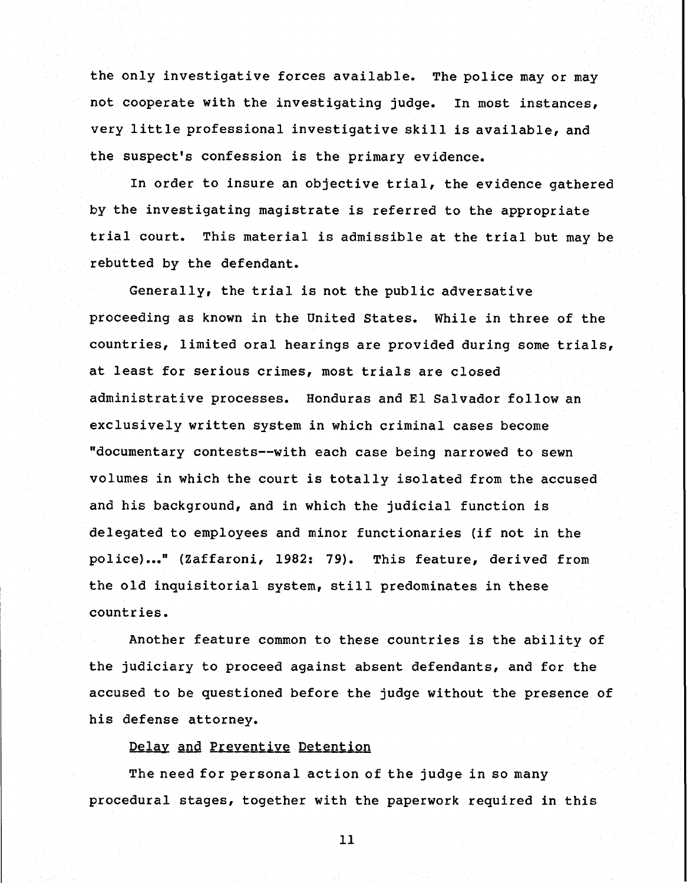the only investigative forces available. The police may or may not cooperate with the investigating judge. In most instances, very little professional investigative skill is available, and the suspect's confession is the primary evidence.

In order to insure an objective trial, the evidence gathered by the investigating magistrate is referred to the appropriate trial court. This material is admissible at the trial but may be rebutted by the defendant.

Generally, the trial is not the public adversative proceeding as known in the United States. While in three of the countries, limited oral hearings are provided during some trials, at least for serious crimes, most trials are closed administrative processes. Honduras and El Salvador follow an exclusively written system in which criminal cases become "documentary contests--with each case being narrowed to sewn volumes in which the court is totally isolated from the accused and his background, and in which the judicial function is delegated to employees and minor functionaries (if not in the police)..." (Zaffaroni, 1982: 79). This feature, derived from the old inquisitorial system, still predominates in these countries.

Another feature common to these countries is the ability of the judiciary to proceed against absent defendants, and for the accused to be questioned before the judge without the presence of his defense attorney.

#### Delay and Preventive Detention

The need for personal action of the judge in so many procedural stages, together with the paperwork required in this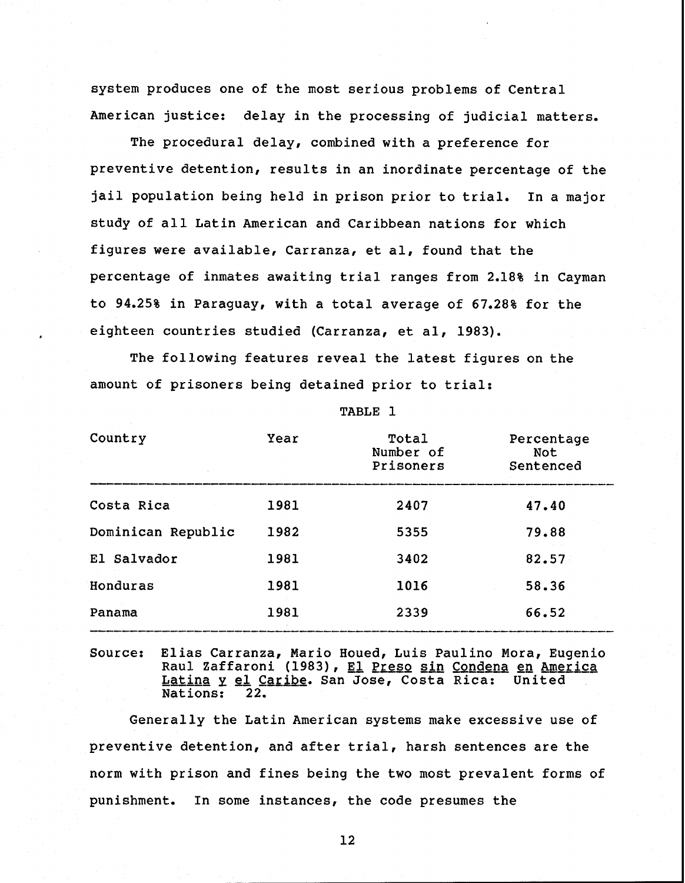system produces one of the most serious problems of Central American justice: delay in the processing of judicial matters.

The procedural delay, combined with a preference for preventive detention, results in an inordinate percentage of the jail population being held in prison prior to trial, In a major study of all Latin American and Caribbean nations for which figures were available, Carranza, et al, found that the percentage of inmates awaiting trial ranges from 2.18% in Cayman to 94.25% in Paraguay, with a total average of 67.28% for the eighteen countries studied (Carranza, et al, 1983).

The following features reveal the latest figures on the amount of prisoners being detained prior to trial:

| Country            | Year | Total<br>Number of<br>Prisoners | Percentage<br>Not<br>Sentenced |
|--------------------|------|---------------------------------|--------------------------------|
| Costa Rica         | 1981 | 2407                            | 47.40                          |
| Dominican Republic | 1982 | 5355                            | 79.88                          |
| El Salvador        | 1981 | 3402                            | 82.57                          |
| Honduras           | 1981 | 1016                            | 58.36                          |
| Panama             | 1981 | 2339                            | 66.52                          |

TABLE 1

Source: Elias Carranza, Mario Houed, Luis Paulino Mora, Eugenio Raul Zaffaroni (1983), El Preso sin Condena en America L<u>atina y el Caribe</u>. San Jose, Costa Rica: United<br>Nations: 22. Nations:

Generally the Latin American systems make excessive use of preventive detention, and after trial, harsh sentences are the norm with prison and fines being the two most prevalent forms of punishment, In some instances, the code presumes the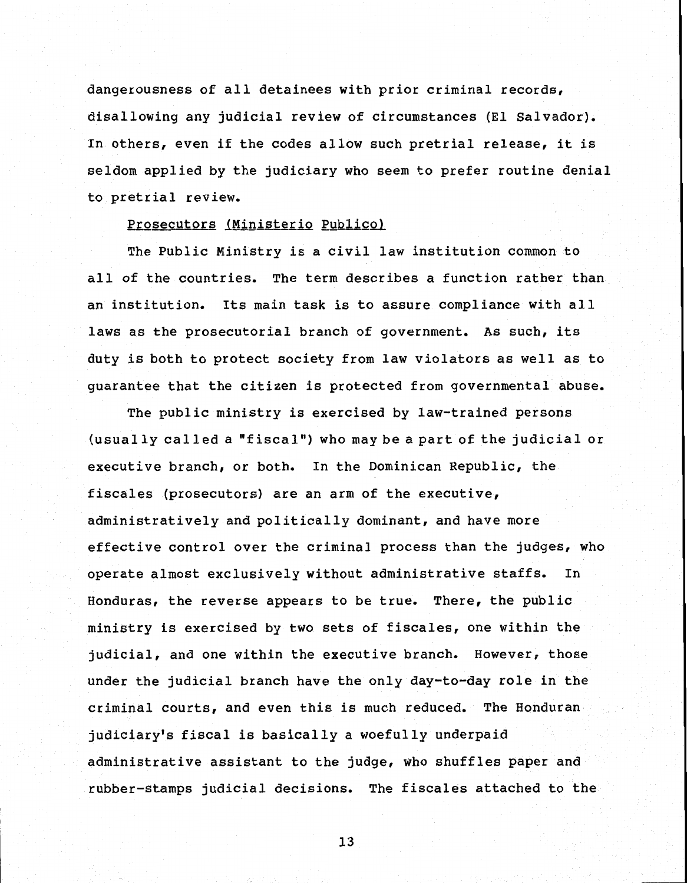dangerousness of all detainees with prior criminal records, disallowing any judicial review of circumstances (El Salvador). In others, even if the codes allow such pretrial release, it is seldom applied by the judiciary who seem to prefer routine denial to pretrial review.

#### Prosecutors (Ministerio Publico)

The Public Ministry is a civil law institution common to all of the countries. The term describes a function rather than an institution. Its main task is to assure compliance with all laws as the prosecutorial branch of government. **As** such, its duty is both to protect society from law violators as well as to guarantee that the citizen is protected from governmental abuse.

The public ministry is exercised by law-trained persons (usually called a "fiscal") who may be a part of the judicial or executive branch, or both. In the Dominican Republic, the fiscales (prosecutors) are an arm of the executive, administratively and politically dominant, and have more effective control over the criminal process than the judges, who operate almost exclusively without administrative staffs. In Honduras, the reverse appears to be true. There, the public ministry is exercised by two sets of fiscales, one within the judicial, and one within the executive branch. However, those under the judicial branch have the only day-to-day role in the criminal courts, and even this is much reduced. The Honduran judiciary's fiscal is basically a woefully underpaid administrative assistant to the judge, Who shuffles paper and rubber-stamps judicial decisions. The fiscales attached to the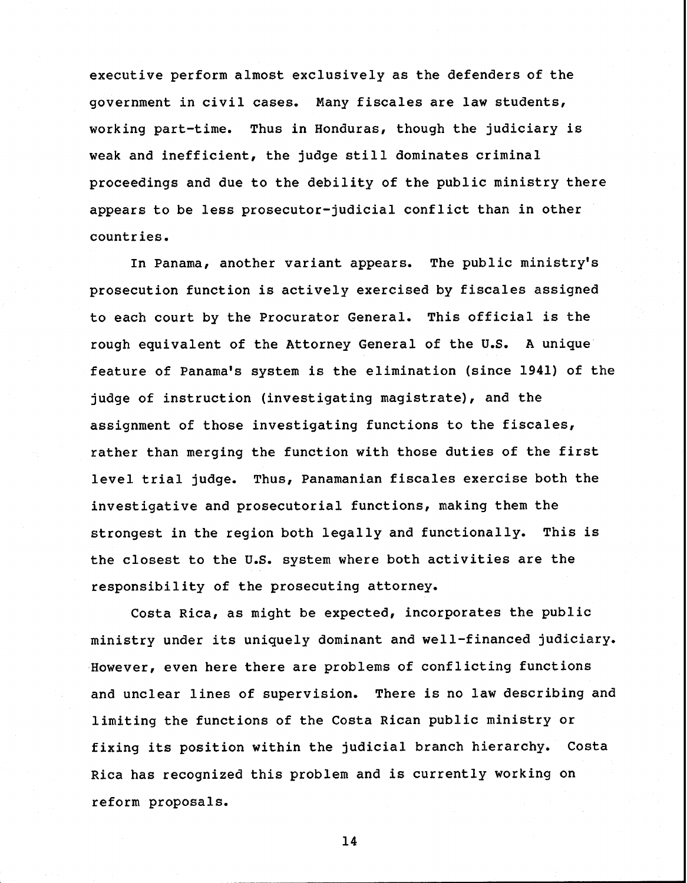executive perform almost exclusively as the defenders of the government in civil cases. Many fiscales are law students, working part-time. Thus in Honduras, though the judiciary is weak and inefficient, the judge still dominates criminal proceedings and due to the debility of the public ministry there appears to be less prosecutor-judicial conflict than in other countries.

In Panama, another variant appears. The public ministry's prosecution function is actively exercised by fiscales assigned to each court by the Procurator General. This official is the rough equivalent of the Attorney General of the U.S. A unique feature of Panama's system is the elimination (since 1941) of the judge of instruction (investigating magistrate), and the assignment of those investigating functions to the fiscales, rather than merging the function with those duties of the first level trial judge. Thus, Panamanian fiscales exercise both the investigative and prosecutorial functions, making them the strongest in the region both legally and functionally. This is the closest to the U.S. system where both activities are the responsibility of the prosecuting attorney.

Costa Rica, as might be expected, incorporates the public ministry under its uniquely dominant and well-financed judiciary. However, even here there are problems of conflicting functions and unclear lines of supervision. There is no law describing and limiting the functions of the Costa Rican public ministry or fixing its position within the judicial branch hierarchy. Costa Rica has recognized this problem and is currently working on reform proposals.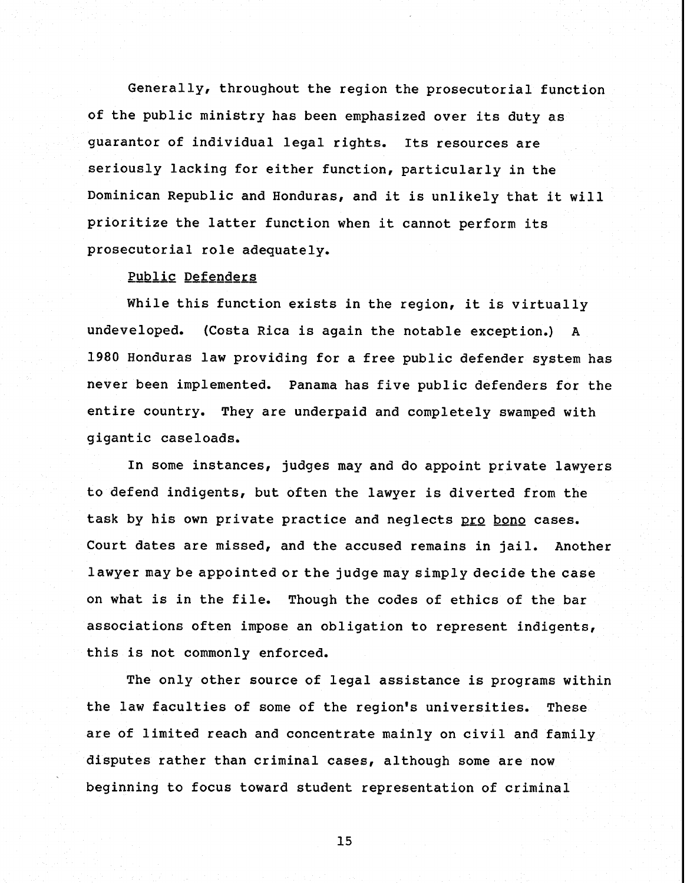Generally, throughout the region the prosecutorial function of the public ministry has been emphasized over its duty as guarantor of individual legal rights. Its resources are seriously lacking for either function, particularly in the Dominican Republic and Honduras, and it is unlikely that it will prioritize the latter function when it cannot perform its prosecutorial role adequately.

#### Public Defenders

While this function exists in the region, it is virtually undeveloped, (Costa Rica is again the notable exception.) A 1980 Honduras law providing for a free public defender system has never been implemented, Panama has five public defenders for the entire country. They are underpaid and completely swamped with gigantic caseloads.

In some instances, judges may and do appoint private lawyers to defend indigents, but often the lawyer is diverted from the task by his own private practice and neglects pro bono cases. Court dates are missed, and the accused remains in jail, Another lawyer may be appointed or the judge may simply decide the case on what is in the file, Though the codes of ethics of the bar associations often impose an obligation to represent indigents, this is not commonly enforced.

The only other source of legal assistance is programs within the law faculties of some of the region's universities. These are of limited reach and concentrate mainly on civil and family disputes rather than criminal cases, although some are now beginning to focus toward student representation of criminal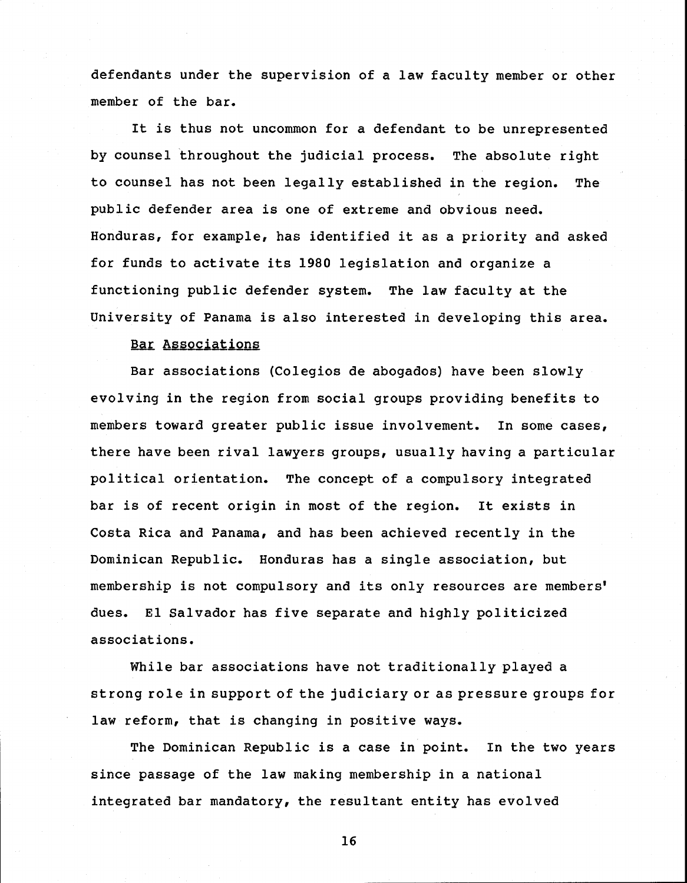defendants under the supervision of a law faculty member or other member of the bar.

It is thus not uncommon for a defendant to be unrepresented by counsel throughout the judicial process. The absolute right to counsel has not been legally established in the region. The public defender area is one of extreme and obvious need. Honduras, for example, has identified it as a priority and asked for funds to activate its 1980 legislation and organize a functioning public defender system. The law faculty at the<br>University of Panama is also interested in developing this<br>Bar Associations University of Panama is also interested in developing this area.

Bar associations (Colegios de abogados) have been slowly evolving in the region from social groups providing benefits to members toward greater public issue involvement. In some cases, there have been rival lawyers groups, usually having a particular political orientation. The concept of a compulsory integrated bar is of recent origin in most of the region. It exists in Costa Rica and Panama, and has been achieved recently in the Dominican Republic. Honduras has a single association, but membership is not compulsory and its only resources are members' dues. El Salvador has five separate and highly politicized associations.

While bar associations have not traditionally played a strong role in support of the judiciary or as pressure groups for law reform, that is changing in positive ways.

The Dominican Republic is a case in point. In the two years since passage of the law making membership in a national integrated bar mandatory, the resultant entity has evolved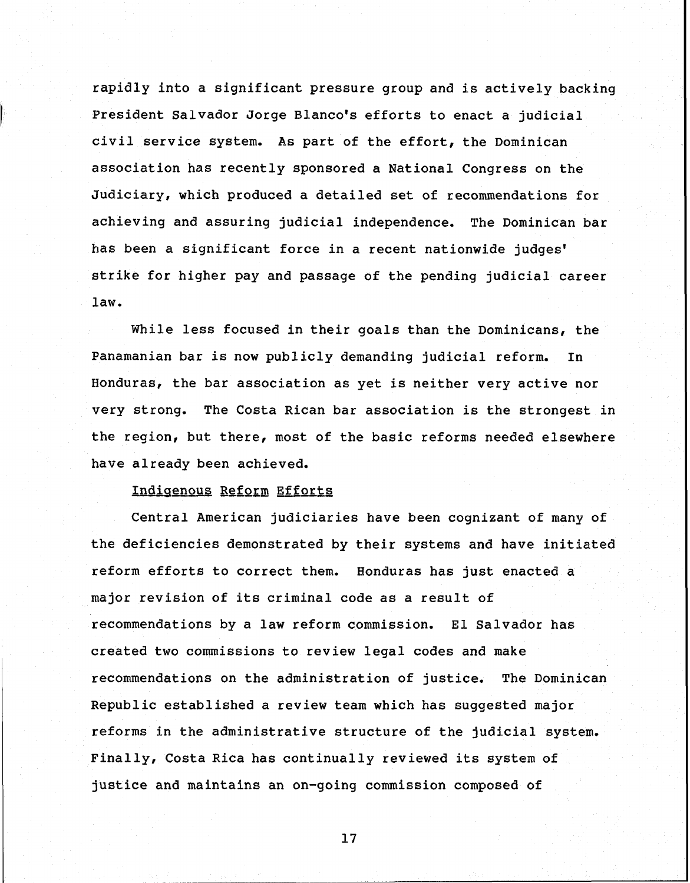rapidly into a significant pressure group and is actively backing President Salvador Jorge Blanco's efforts to enact a judicial civil service system. As part of the effort, the Dominican association has recently sponsored a National Congress on the Judiciary, which produced a detailed set of recommendations for achieving and assuring judicial independence. The Dominican bar has been a significant force in a recent nationwide judges' strike for higher pay and passage of the pending judicial career law.

While less focused in their goals than the Dominicans, the Panamanian bar is now publicly demanding judicial reform. In Honduras, the bar association as yet is neither very active nor very strong. The Costa Rican bar association is the strongest in the region, but there, most of the basic reforms needed elsewhere have already been achieved.

#### Indigenous Reform Efforts

Central American judiciaries have been cognizant of many of the deficiencies demonstrated by their systems and have initiated reform efforts to correct them. Honduras has just enacted a major revision of its criminal code as a result of recommendations by a law reform commission. El Salvador has created two commissions to review legal codes and make recommendations on the administration of justice. The Dominican Republic established a review team which has suggested major reforms in the administrative structure of the judicial system. Finally, Costa Rica has continually reviewed its system of justice and maintains an on-going commission composed of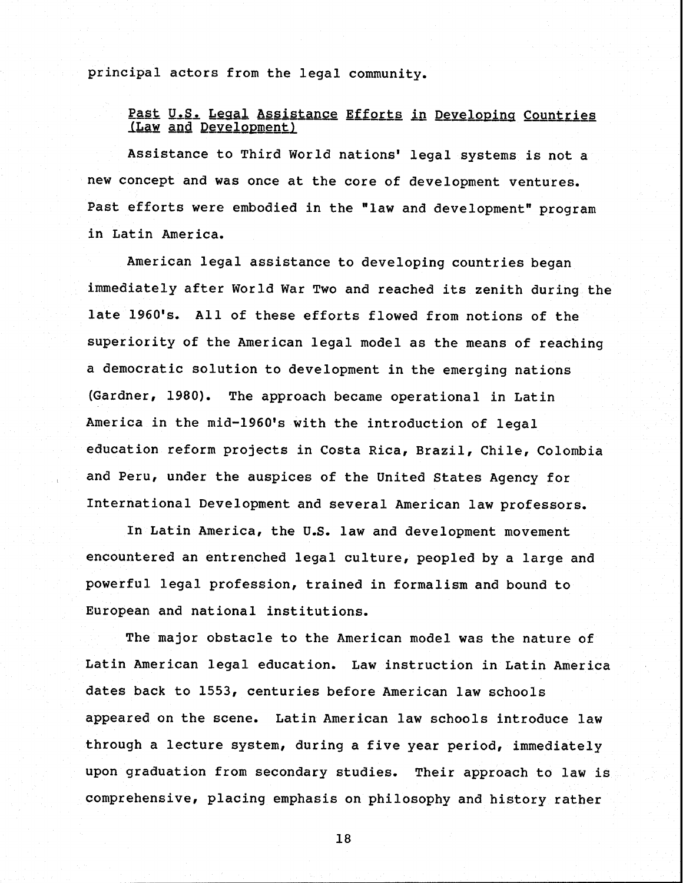principal actors from the legal community.

#### Past U.S. Legal Assistance Efforts in Developing Countries (Law and Development)

Assistance to Third World nations' legal systems is not a new concept and was once at the core of development ventures. Past efforts were embodied in the "law and development" program in Latin America.

American legal assistance to developing countries began immediately after World War Two and reached its zenith during the late 1960's. All of these efforts flowed from notions of the superiority of the American legal model as the means of reaching a democratic solution to development in the emerging nations (Gardner, 1980). The approach became operational in Latin America in the mid-1960's with the introduction of legal education reform projects in Costa Rica, Brazil, Chile, Colombia , and Peru, under the auspices of the United States Agency for International Development and several American law professors.

In Latin America, the U.S. law and development movement encountered an entrenched legal culture, peopled by a large and powerful legal profession, trained in formalism and bound to European and national institutions.

The major obstacle to the American model was the nature of Latin American legal education. Law instruction in Latin America dates back to 1553, centuries before American law schools appeared on the scene. Latin American law schools introduce law through a lecture system, during a five year period, immediately upon graduation from secondary studies. Their approach to law is comprehensive, placing emphasis on philosophy and history rather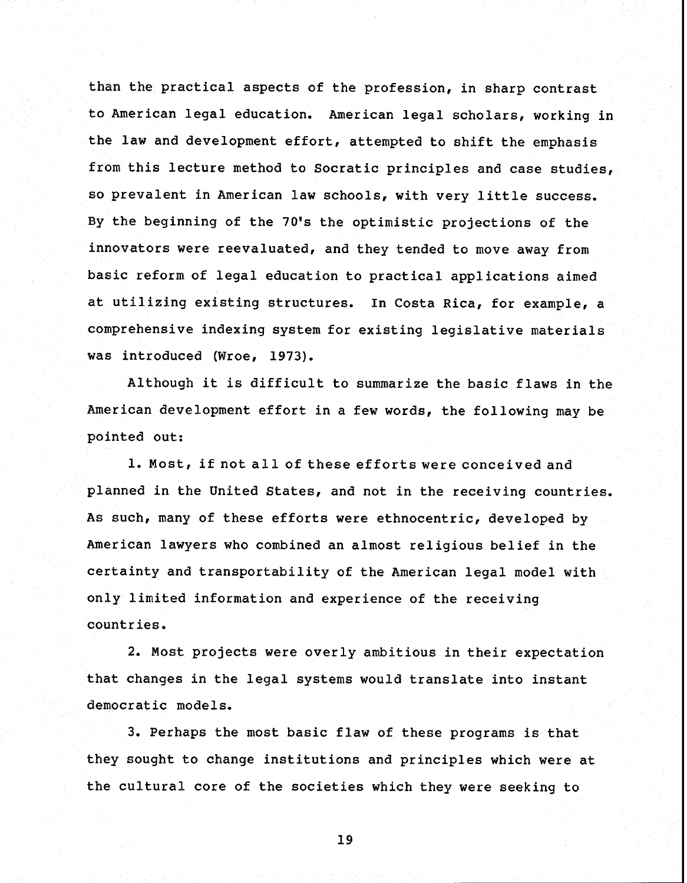than the practical aspects of the profession, in sharp contrast to American legal education. American legal scholars, working in the law and development effort, attempted to shift the emphasis from this lecture method to Socratic principles and case studies, so prevalent in American law schools, with very little success. By the beginning of the 70's the optimistic projections of the innovators were reevaluated, and they tended to move away from basic reform of legal education to practical applications aimed at utilizing existing structures. In Costa Rica, for example, a comprehensive indexing system for existing legislative materials was introduced (Wroe, 1973).

Although it is difficult to summarize the basic flaws in the American development effort in a few words, the following may be pointed out:

1. Most, if not all of these effortswere conceived and planned in the United States, and not in the receiving countries. As such, many of these efforts were ethnocentric, developed by American lawyers who combined an almost religious belief in the certainty and transportability of the American legal model with only limited information and experience of the receiving countries.

2. Most projects were overly ambitious in their expectation that changes in the legal systems would translate into instant democratic models.

3. Perhaps the most basic flaw of these programs is that they sought to change institutions and principles which were at the cultural core of the societies which they were seeking to